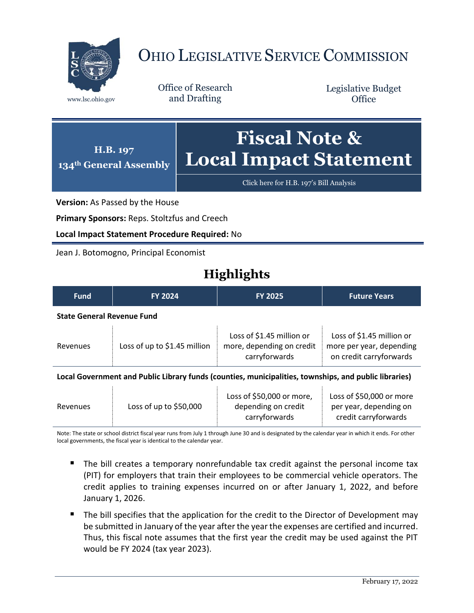

## OHIO LEGISLATIVE SERVICE COMMISSION

Office of Research www.lsc.ohio.gov and Drafting

Legislative Budget **Office** 



[Click here for H.B. 197](https://www.legislature.ohio.gov/legislation/legislation-documents?id=GA134-HB-197)'s Bill Analysis

**Version:** As Passed by the House

**Primary Sponsors:** Reps. Stoltzfus and Creech

**Local Impact Statement Procedure Required:** No

Jean J. Botomogno, Principal Economist

## **Highlights**

| <b>Fund</b>                                                                                           | <b>FY 2024</b>               | <b>FY 2025</b>                                                          | <b>Future Years</b>                                                              |
|-------------------------------------------------------------------------------------------------------|------------------------------|-------------------------------------------------------------------------|----------------------------------------------------------------------------------|
| <b>State General Revenue Fund</b>                                                                     |                              |                                                                         |                                                                                  |
| Revenues                                                                                              | Loss of up to \$1.45 million | Loss of \$1.45 million or<br>more, depending on credit<br>carryforwards | Loss of \$1.45 million or<br>more per year, depending<br>on credit carryforwards |
| Local Government and Public Library funds (counties, municipalities, townships, and public libraries) |                              |                                                                         |                                                                                  |
| Revenues                                                                                              | Loss of up to \$50,000       | Loss of \$50,000 or more,<br>depending on credit                        | Loss of \$50,000 or more<br>per year, depending on                               |

Note: The state or school district fiscal year runs from July 1 through June 30 and is designated by the calendar year in which it ends. For other local governments, the fiscal year is identical to the calendar year.

 The bill creates a temporary nonrefundable tax credit against the personal income tax (PIT) for employers that train their employees to be commercial vehicle operators. The credit applies to training expenses incurred on or after January 1, 2022, and before January 1, 2026.

carryforwards

The bill specifies that the application for the credit to the Director of Development may be submitted in January of the year after the year the expenses are certified and incurred. Thus, this fiscal note assumes that the first year the credit may be used against the PIT would be FY 2024 (tax year 2023).

credit carryforwards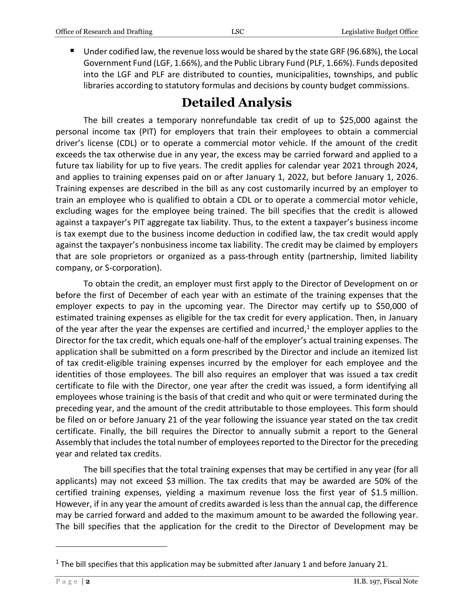■ Under codified law, the revenue loss would be shared by the state GRF (96.68%), the Local Government Fund (LGF, 1.66%), and the Public Library Fund (PLF, 1.66%). Funds deposited into the LGF and PLF are distributed to counties, municipalities, townships, and public libraries according to statutory formulas and decisions by county budget commissions.

## **Detailed Analysis**

The bill creates a temporary nonrefundable tax credit of up to \$25,000 against the personal income tax (PIT) for employers that train their employees to obtain a commercial driver's license (CDL) or to operate a commercial motor vehicle. If the amount of the credit exceeds the tax otherwise due in any year, the excess may be carried forward and applied to a future tax liability for up to five years. The credit applies for calendar year 2021 through 2024, and applies to training expenses paid on or after January 1, 2022, but before January 1, 2026. Training expenses are described in the bill as any cost customarily incurred by an employer to train an employee who is qualified to obtain a CDL or to operate a commercial motor vehicle, excluding wages for the employee being trained. The bill specifies that the credit is allowed against a taxpayer's PIT aggregate tax liability. Thus, to the extent a taxpayer's business income is tax exempt due to the business income deduction in codified law, the tax credit would apply against the taxpayer's nonbusiness income tax liability. The credit may be claimed by employers that are sole proprietors or organized as a pass-through entity (partnership, limited liability company, or S-corporation).

To obtain the credit, an employer must first apply to the Director of Development on or before the first of December of each year with an estimate of the training expenses that the employer expects to pay in the upcoming year. The Director may certify up to \$50,000 of estimated training expenses as eligible for the tax credit for every application. Then, in January of the year after the year the expenses are certified and incurred,<sup>1</sup> the employer applies to the Director for the tax credit, which equals one-half of the employer's actual training expenses. The application shall be submitted on a form prescribed by the Director and include an itemized list of tax credit-eligible training expenses incurred by the employer for each employee and the identities of those employees. The bill also requires an employer that was issued a tax credit certificate to file with the Director, one year after the credit was issued, a form identifying all employees whose training is the basis of that credit and who quit or were terminated during the preceding year, and the amount of the credit attributable to those employees. This form should be filed on or before January 21 of the year following the issuance year stated on the tax credit certificate. Finally, the bill requires the Director to annually submit a report to the General Assembly that includes the total number of employees reported to the Director for the preceding year and related tax credits.

The bill specifies that the total training expenses that may be certified in any year (for all applicants) may not exceed \$3 million. The tax credits that may be awarded are 50% of the certified training expenses, yielding a maximum revenue loss the first year of \$1.5 million. However, if in any year the amount of credits awarded is less than the annual cap, the difference may be carried forward and added to the maximum amount to be awarded the following year. The bill specifies that the application for the credit to the Director of Development may be

 $\overline{a}$ 

<sup>&</sup>lt;sup>1</sup> The bill specifies that this application may be submitted after January 1 and before January 21.